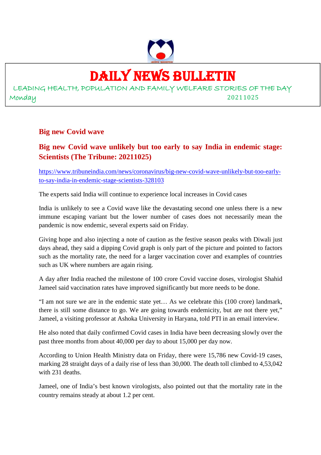

# DAILY NEWS BULLETIN

LEADING HEALTH, POPULATION AND FAMILY WELFARE STORIES OF THE DAY Monday 20211025

#### **Big new Covid wave**

#### **Big new Covid wave unlikely but too early to say India in endemic stage: Scientists (The Tribune: 20211025)**

https://www.tribuneindia.com/news/coronavirus/big-new-covid-wave-unlikely-but-too-earlyto-say-india-in-endemic-stage-scientists-328103

The experts said India will continue to experience local increases in Covid cases

India is unlikely to see a Covid wave like the devastating second one unless there is a new immune escaping variant but the lower number of cases does not necessarily mean the pandemic is now endemic, several experts said on Friday.

Giving hope and also injecting a note of caution as the festive season peaks with Diwali just days ahead, they said a dipping Covid graph is only part of the picture and pointed to factors such as the mortality rate, the need for a larger vaccination cover and examples of countries such as UK where numbers are again rising.

A day after India reached the milestone of 100 crore Covid vaccine doses, virologist Shahid Jameel said vaccination rates have improved significantly but more needs to be done.

"I am not sure we are in the endemic state yet… As we celebrate this (100 crore) landmark, there is still some distance to go. We are going towards endemicity, but are not there yet," Jameel, a visiting professor at Ashoka University in Haryana, told PTI in an email interview.

He also noted that daily confirmed Covid cases in India have been decreasing slowly over the past three months from about 40,000 per day to about 15,000 per day now.

According to Union Health Ministry data on Friday, there were 15,786 new Covid-19 cases, marking 28 straight days of a daily rise of less than 30,000. The death toll climbed to 4,53,042 with 231 deaths.

Jameel, one of India's best known virologists, also pointed out that the mortality rate in the country remains steady at about 1.2 per cent.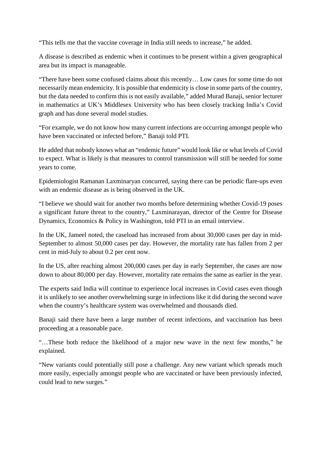"This tells me that the vaccine coverage in India still needs to increase," he added.

A disease is described as endemic when it continues to be present within a given geographical area but its impact is manageable.

"There have been some confused claims about this recently… Low cases for some time do not necessarily mean endemicity. It is possible that endemicity is close in some parts of the country, but the data needed to confirm this is not easily available," added Murad Banaji, senior lecturer in mathematics at UK's Middlesex University who has been closely tracking India's Covid graph and has done several model studies.

"For example, we do not know how many current infections are occurring amongst people who have been vaccinated or infected before," Banaji told PTI.

He added that nobody knows what an "endemic future" would look like or what levels of Covid to expect. What is likely is that measures to control transmission will still be needed for some years to come.

Epidemiologist Ramanan Laxminaryan concurred, saying there can be periodic flare-ups even with an endemic disease as is being observed in the UK.

"I believe we should wait for another two months before determining whether Covid-19 poses a significant future threat to the country," Laxminarayan, director of the Centre for Disease Dynamics, Economics & Policy in Washington, told PTI in an email interview.

In the UK, Jameel noted, the caseload has increased from about 30,000 cases per day in mid-September to almost 50,000 cases per day. However, the mortality rate has fallen from 2 per cent in mid-July to about 0.2 per cent now.

In the US, after reaching almost 200,000 cases per day in early September, the cases are now down to about 80,000 per day. However, mortality rate remains the same as earlier in the year.

The experts said India will continue to experience local increases in Covid cases even though it is unlikely to see another overwhelming surge in infections like it did during the second wave when the country's healthcare system was overwhelmed and thousands died.

Banaji said there have been a large number of recent infections, and vaccination has been proceeding at a reasonable pace.

"…These both reduce the likelihood of a major new wave in the next few months," he explained.

"New variants could potentially still pose a challenge. Any new variant which spreads much more easily, especially amongst people who are vaccinated or have been previously infected, could lead to new surges."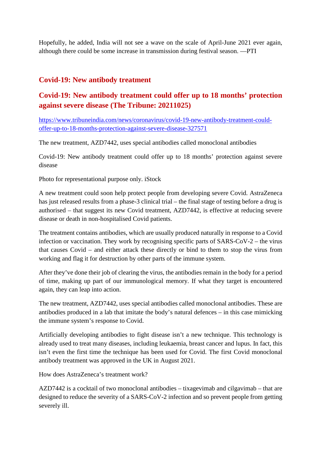Hopefully, he added, India will not see a wave on the scale of April-June 2021 ever again, although there could be some increase in transmission during festival season. —PTI

#### **Covid-19: New antibody treatment**

#### **Covid-19: New antibody treatment could offer up to 18 months' protection against severe disease (The Tribune: 20211025)**

https://www.tribuneindia.com/news/coronavirus/covid-19-new-antibody-treatment-couldoffer-up-to-18-months-protection-against-severe-disease-327571

The new treatment, AZD7442, uses special antibodies called monoclonal antibodies

Covid-19: New antibody treatment could offer up to 18 months' protection against severe disease

Photo for representational purpose only. iStock

A new treatment could soon help protect people from developing severe Covid. AstraZeneca has just released results from a phase-3 clinical trial – the final stage of testing before a drug is authorised – that suggest its new Covid treatment, AZD7442, is effective at reducing severe disease or death in non-hospitalised Covid patients.

The treatment contains antibodies, which are usually produced naturally in response to a Covid infection or vaccination. They work by recognising specific parts of SARS-CoV-2 – the virus that causes Covid – and either attack these directly or bind to them to stop the virus from working and flag it for destruction by other parts of the immune system.

After they've done their job of clearing the virus, the antibodies remain in the body for a period of time, making up part of our immunological memory. If what they target is encountered again, they can leap into action.

The new treatment, AZD7442, uses special antibodies called monoclonal antibodies. These are antibodies produced in a lab that imitate the body's natural defences – in this case mimicking the immune system's response to Covid.

Artificially developing antibodies to fight disease isn't a new technique. This technology is already used to treat many diseases, including leukaemia, breast cancer and lupus. In fact, this isn't even the first time the technique has been used for Covid. The first Covid monoclonal antibody treatment was approved in the UK in August 2021.

How does AstraZeneca's treatment work?

AZD7442 is a cocktail of two monoclonal antibodies – tixagevimab and cilgavimab – that are designed to reduce the severity of a SARS-CoV-2 infection and so prevent people from getting severely ill.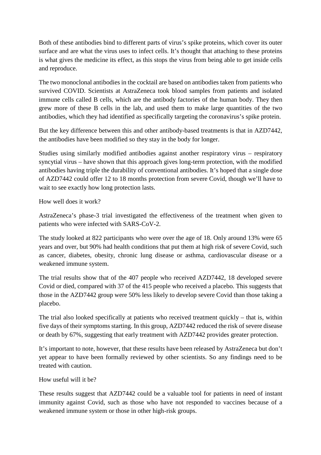Both of these antibodies bind to different parts of virus's spike proteins, which cover its outer surface and are what the virus uses to infect cells. It's thought that attaching to these proteins is what gives the medicine its effect, as this stops the virus from being able to get inside cells and reproduce.

The two monoclonal antibodies in the cocktail are based on antibodies taken from patients who survived COVID. Scientists at AstraZeneca took blood samples from patients and isolated immune cells called B cells, which are the antibody factories of the human body. They then grew more of these B cells in the lab, and used them to make large quantities of the two antibodies, which they had identified as specifically targeting the coronavirus's spike protein.

But the key difference between this and other antibody-based treatments is that in AZD7442, the antibodies have been modified so they stay in the body for longer.

Studies using similarly modified antibodies against another respiratory virus – respiratory syncytial virus – have shown that this approach gives long-term protection, with the modified antibodies having triple the durability of conventional antibodies. It's hoped that a single dose of AZD7442 could offer 12 to 18 months protection from severe Covid, though we'll have to wait to see exactly how long protection lasts.

How well does it work?

AstraZeneca's phase-3 trial investigated the effectiveness of the treatment when given to patients who were infected with SARS-CoV-2.

The study looked at 822 participants who were over the age of 18. Only around 13% were 65 years and over, but 90% had health conditions that put them at high risk of severe Covid, such as cancer, diabetes, obesity, chronic lung disease or asthma, cardiovascular disease or a weakened immune system.

The trial results show that of the 407 people who received AZD7442, 18 developed severe Covid or died, compared with 37 of the 415 people who received a placebo. This suggests that those in the AZD7442 group were 50% less likely to develop severe Covid than those taking a placebo.

The trial also looked specifically at patients who received treatment quickly – that is, within five days of their symptoms starting. In this group, AZD7442 reduced the risk of severe disease or death by 67%, suggesting that early treatment with AZD7442 provides greater protection.

It's important to note, however, that these results have been released by AstraZeneca but don't yet appear to have been formally reviewed by other scientists. So any findings need to be treated with caution.

How useful will it be?

These results suggest that AZD7442 could be a valuable tool for patients in need of instant immunity against Covid, such as those who have not responded to vaccines because of a weakened immune system or those in other high-risk groups.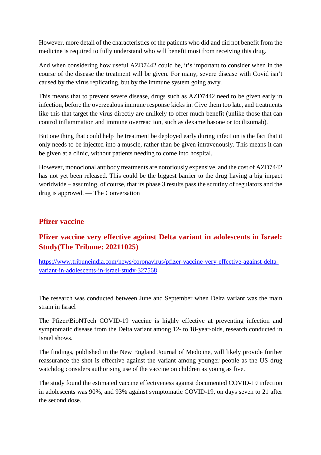However, more detail of the characteristics of the patients who did and did not benefit from the medicine is required to fully understand who will benefit most from receiving this drug.

And when considering how useful AZD7442 could be, it's important to consider when in the course of the disease the treatment will be given. For many, severe disease with Covid isn't caused by the virus replicating, but by the immune system going awry.

This means that to prevent severe disease, drugs such as AZD7442 need to be given early in infection, before the overzealous immune response kicks in. Give them too late, and treatments like this that target the virus directly are unlikely to offer much benefit (unlike those that can control inflammation and immune overreaction, such as dexamethasone or tocilizumab).

But one thing that could help the treatment be deployed early during infection is the fact that it only needs to be injected into a muscle, rather than be given intravenously. This means it can be given at a clinic, without patients needing to come into hospital.

However, monoclonal antibody treatments are notoriously expensive, and the cost of AZD7442 has not yet been released. This could be the biggest barrier to the drug having a big impact worldwide – assuming, of course, that its phase 3 results pass the scrutiny of regulators and the drug is approved. — The Conversation

#### **Pfizer vaccine**

#### **Pfizer vaccine very effective against Delta variant in adolescents in Israel: Study(The Tribune: 20211025)**

https://www.tribuneindia.com/news/coronavirus/pfizer-vaccine-very-effective-against-deltavariant-in-adolescents-in-israel-study-327568

The research was conducted between June and September when Delta variant was the main strain in Israel

The Pfizer/BioNTech COVID-19 vaccine is highly effective at preventing infection and symptomatic disease from the Delta variant among 12- to 18-year-olds, research conducted in Israel shows.

The findings, published in the New England Journal of Medicine, will likely provide further reassurance the shot is effective against the variant among younger people as the US drug watchdog considers authorising use of the vaccine on children as young as five.

The study found the estimated vaccine effectiveness against documented COVID-19 infection in adolescents was 90%, and 93% against symptomatic COVID-19, on days seven to 21 after the second dose.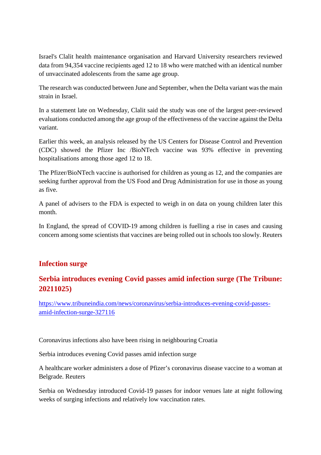Israel's Clalit health maintenance organisation and Harvard University researchers reviewed data from 94,354 vaccine recipients aged 12 to 18 who were matched with an identical number of unvaccinated adolescents from the same age group.

The research was conducted between June and September, when the Delta variant was the main strain in Israel.

In a statement late on Wednesday, Clalit said the study was one of the largest peer-reviewed evaluations conducted among the age group of the effectiveness of the vaccine against the Delta variant.

Earlier this week, an analysis released by the US Centers for Disease Control and Prevention (CDC) showed the Pfizer Inc /BioNTech vaccine was 93% effective in preventing hospitalisations among those aged 12 to 18.

The Pfizer/BioNTech vaccine is authorised for children as young as 12, and the companies are seeking further approval from the US Food and Drug Administration for use in those as young as five.

A panel of advisers to the FDA is expected to weigh in on data on young children later this month.

In England, the spread of COVID-19 among children is fuelling a rise in cases and causing concern among some scientists that vaccines are being rolled out in schools too slowly. Reuters

#### **Infection surge**

#### **Serbia introduces evening Covid passes amid infection surge (The Tribune: 20211025)**

https://www.tribuneindia.com/news/coronavirus/serbia-introduces-evening-covid-passesamid-infection-surge-327116

Coronavirus infections also have been rising in neighbouring Croatia

Serbia introduces evening Covid passes amid infection surge

A healthcare worker administers a dose of Pfizer's coronavirus disease vaccine to a woman at Belgrade. Reuters

Serbia on Wednesday introduced Covid-19 passes for indoor venues late at night following weeks of surging infections and relatively low vaccination rates.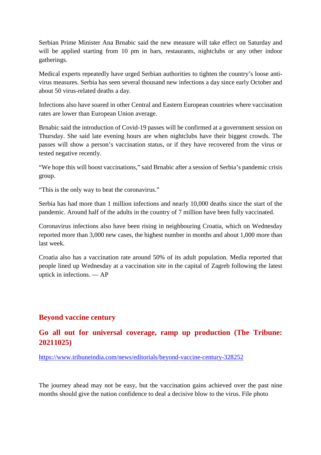Serbian Prime Minister Ana Brnabic said the new measure will take effect on Saturday and will be applied starting from 10 pm in bars, restaurants, nightclubs or any other indoor gatherings.

Medical experts repeatedly have urged Serbian authorities to tighten the country's loose antivirus measures. Serbia has seen several thousand new infections a day since early October and about 50 virus-related deaths a day.

Infections also have soared in other Central and Eastern European countries where vaccination rates are lower than European Union average.

Brnabic said the introduction of Covid-19 passes will be confirmed at a government session on Thursday. She said late evening hours are when nightclubs have their biggest crowds. The passes will show a person's vaccination status, or if they have recovered from the virus or tested negative recently.

"We hope this will boost vaccinations," said Brnabic after a session of Serbia's pandemic crisis group.

"This is the only way to beat the coronavirus."

Serbia has had more than 1 million infections and nearly 10,000 deaths since the start of the pandemic. Around half of the adults in the country of 7 million have been fully vaccinated.

Coronavirus infections also have been rising in neighbouring Croatia, which on Wednesday reported more than 3,000 new cases, the highest number in months and about 1,000 more than last week.

Croatia also has a vaccination rate around 50% of its adult population. Media reported that people lined up Wednesday at a vaccination site in the capital of Zagreb following the latest uptick in infections. — AP

#### **Beyond vaccine century**

#### **Go all out for universal coverage, ramp up production (The Tribune: 20211025)**

https://www.tribuneindia.com/news/editorials/beyond-vaccine-century-328252

The journey ahead may not be easy, but the vaccination gains achieved over the past nine months should give the nation confidence to deal a decisive blow to the virus. File photo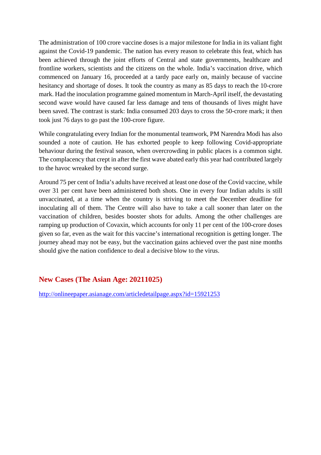The administration of 100 crore vaccine doses is a major milestone for India in its valiant fight against the Covid-19 pandemic. The nation has every reason to celebrate this feat, which has been achieved through the joint efforts of Central and state governments, healthcare and frontline workers, scientists and the citizens on the whole. India's vaccination drive, which commenced on January 16, proceeded at a tardy pace early on, mainly because of vaccine hesitancy and shortage of doses. It took the country as many as 85 days to reach the 10-crore mark. Had the inoculation programme gained momentum in March-April itself, the devastating second wave would have caused far less damage and tens of thousands of lives might have been saved. The contrast is stark: India consumed 203 days to cross the 50-crore mark; it then took just 76 days to go past the 100-crore figure.

While congratulating every Indian for the monumental teamwork, PM Narendra Modi has also sounded a note of caution. He has exhorted people to keep following Covid-appropriate behaviour during the festival season, when overcrowding in public places is a common sight. The complacency that crept in after the first wave abated early this year had contributed largely to the havoc wreaked by the second surge.

Around 75 per cent of India's adults have received at least one dose of the Covid vaccine, while over 31 per cent have been administered both shots. One in every four Indian adults is still unvaccinated, at a time when the country is striving to meet the December deadline for inoculating all of them. The Centre will also have to take a call sooner than later on the vaccination of children, besides booster shots for adults. Among the other challenges are ramping up production of Covaxin, which accounts for only 11 per cent of the 100-crore doses given so far, even as the wait for this vaccine's international recognition is getting longer. The journey ahead may not be easy, but the vaccination gains achieved over the past nine months should give the nation confidence to deal a decisive blow to the virus.

#### **New Cases (The Asian Age: 20211025)**

http://onlineepaper.asianage.com/articledetailpage.aspx?id=15921253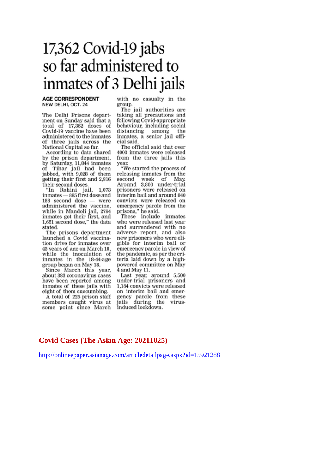## $17,362$  Covid-19 jabs so far administered to inmates of 3 Delhi jails

#### **AGE CORRESPONDENT** NEW DELHI, OCT. 24

The Delhi Prisons department on Sunday said that a total of 17,362 doses of Covid-19 vaccine have been administered to the inmates of three jails across the<br>National Capital so far.

According to data shared by the prison department. by Saturday, 11,844 inmates of Tihar jail had been jabbed, with 9,028 of them getting their first and 2,816 their second doses.

"In Rohini jail, 1,073 inmates - 885 first dose and 188 second dose - were administered the vaccine, while in Mandoli jail, 2794 inmates got their first, and 1,651 second dose," the data stated.

The prisons department launched a Covid vaccination drive for inmates over 45 years of age on March 18, while the inoculation of inmates in the 18-44-age group began on May 18.

Since March this year, about 383 coronavirus cases have been reported among inmates of these jails with eight of them succumbing.

A total of 225 prison staff members caught virus at some point since March

with no casualty in the group.

The jail authorities are taking all precautions and following Covid-appropriate behaviour, including social distancing among the inmates, a senior jail official said.

The official said that over 4000 inmates were released from the three jails this vear.

"We started the process of releasing inmates from the second week of May. second week of May.<br>Around 3,800 under-trial prisoners were released on interim bail and around 840 convicts were released on emergency parole from the prisons," he said.<br>These include inmates

who were released last year and surrendered with no adverse report, and also new prisoners who were eligible for interim bail or emergency parole in view of the pandemic, as per the criteria laid down by a highpowered committee on May 4 and May 11.

Last year, around 5,500 under-trial prisoners and 1,184 convicts were released on interim bail and emergency parole from these<br>jails during the virusinduced lockdown.

#### **Covid Cases (The Asian Age: 20211025)**

http://onlineepaper.asianage.com/articledetailpage.aspx?id=15921288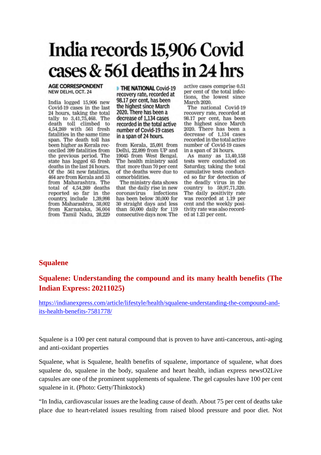# India records 15,906 Covid cases & 561 deaths in 24 hrs

#### **AGE CORRESPONDENT** NEW DELHI, OCT. 24

India logged 15,906 new Covid-19 cases in the last 24 hours, taking the total tally to 3,41,75,468. The<br>death toll climbed to 4,54,269 with 561 fresh fatalities in the same time span. The death toll has been higher as Kerala reconciled 399 fatalities from the previous period. The state has logged 65 fresh deaths in the last 24 hours. Of the 561 new fatalities, 464 are from Kerala and 33 from Maharashtra. The total of 4,54,269 deaths<br>reported so far in the country, include 1,39,998 from Maharashtra, 38,002 from Karnataka, 36,004<br>from Tamil Nadu, 28,229 THE NATIONAL Covid-19 recovery rate, recorded at 98.17 per cent, has been the highest since March 2020. There has been a decrease of 1.134 cases recorded in the total active number of Covid-19 cases in a span of 24 hours.

from Kerala, 25,091 from Delhi, 22,899 from UP and 19045 from West Bengal. The health ministry said that more than 70 per cent of the deaths were due to comorbidities.

The ministry data shows that the daily rise in new coronavirus infections has been below 30,000 for 30 straight days and less than 50,000 daily for 119 consecutive days now. The

active cases comprise 0.51 per cent of the total infections, the lowest since March 2020.

The national Covid-19 recovery rate, recorded at 98.17 per cent, has been the highest since March 2020. There has been a decrease of 1,134 cases recorded in the total active number of Covid-19 cases in a span of 24 hours.

As many as 13,40,158 tests were conducted on Saturday, taking the total cumulative tests conducted so far for detection of the deadly virus in the country to 59,97,71,320.<br>The daily positivity rate was recorded at 1.19 per cent and the weekly positivity rate was also recorded at 1.23 per cent.

#### **Squalene**

#### **Squalene: Understanding the compound and its many health benefits (The Indian Express: 20211025)**

https://indianexpress.com/article/lifestyle/health/squalene-understanding-the-compound-andits-health-benefits-7581778/

Squalene is a 100 per cent natural compound that is proven to have anti-cancerous, anti-aging and anti-oxidant properties

Squalene, what is Squalene, health benefits of squalene, importance of squalene, what does squalene do, squalene in the body, squalene and heart health, indian express newsO2Live capsules are one of the prominent supplements of squalene. The gel capsules have 100 per cent squalene in it. (Photo: Getty/Thinkstock)

"In India, cardiovascular issues are the leading cause of death. About 75 per cent of deaths take place due to heart-related issues resulting from raised blood pressure and poor diet. Not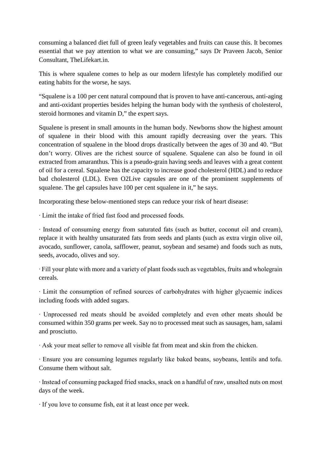consuming a balanced diet full of green leafy vegetables and fruits can cause this. It becomes essential that we pay attention to what we are consuming," says Dr Praveen Jacob, Senior Consultant, TheLifekart.in.

This is where squalene comes to help as our modern lifestyle has completely modified our eating habits for the worse, he says.

"Squalene is a 100 per cent natural compound that is proven to have anti-cancerous, anti-aging and anti-oxidant properties besides helping the human body with the synthesis of cholesterol, steroid hormones and vitamin D," the expert says.

Squalene is present in small amounts in the human body. Newborns show the highest amount of squalene in their blood with this amount rapidly decreasing over the years. This concentration of squalene in the blood drops drastically between the ages of 30 and 40. "But don't worry. Olives are the richest source of squalene. Squalene can also be found in oil extracted from amaranthus. This is a pseudo-grain having seeds and leaves with a great content of oil for a cereal. Squalene has the capacity to increase good cholesterol (HDL) and to reduce bad cholesterol (LDL). Even O2Live capsules are one of the prominent supplements of squalene. The gel capsules have 100 per cent squalene in it," he says.

Incorporating these below-mentioned steps can reduce your risk of heart disease:

∙ Limit the intake of fried fast food and processed foods.

∙ Instead of consuming energy from saturated fats (such as butter, coconut oil and cream), replace it with healthy unsaturated fats from seeds and plants (such as extra virgin olive oil, avocado, sunflower, canola, safflower, peanut, soybean and sesame) and foods such as nuts, seeds, avocado, olives and soy.

∙ Fill your plate with more and a variety of plant foods such as vegetables, fruits and wholegrain cereals.

∙ Limit the consumption of refined sources of carbohydrates with higher glycaemic indices including foods with added sugars.

∙ Unprocessed red meats should be avoided completely and even other meats should be consumed within 350 grams per week. Say no to processed meat such as sausages, ham, salami and prosciutto.

∙ Ask your meat seller to remove all visible fat from meat and skin from the chicken.

∙ Ensure you are consuming legumes regularly like baked beans, soybeans, lentils and tofu. Consume them without salt.

∙ Instead of consuming packaged fried snacks, snack on a handful of raw, unsalted nuts on most days of the week.

∙ If you love to consume fish, eat it at least once per week.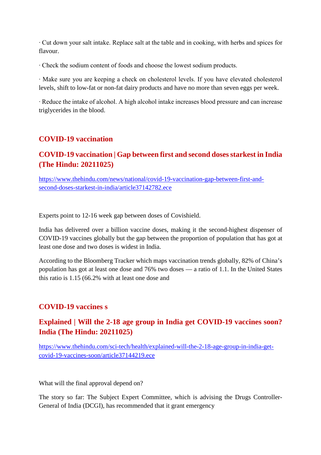∙ Cut down your salt intake. Replace salt at the table and in cooking, with herbs and spices for flavour.

∙ Check the sodium content of foods and choose the lowest sodium products.

∙ Make sure you are keeping a check on cholesterol levels. If you have elevated cholesterol levels, shift to low-fat or non-fat dairy products and have no more than seven eggs per week.

∙ Reduce the intake of alcohol. A high alcohol intake increases blood pressure and can increase triglycerides in the blood.

#### **COVID-19 vaccination**

#### **COVID-19 vaccination | Gap between first and second doses starkest in India (The Hindu: 20211025)**

https://www.thehindu.com/news/national/covid-19-vaccination-gap-between-first-andsecond-doses-starkest-in-india/article37142782.ece

Experts point to 12-16 week gap between doses of Covishield.

India has delivered over a billion vaccine doses, making it the second-highest dispenser of COVID-19 vaccines globally but the gap between the proportion of population that has got at least one dose and two doses is widest in India.

According to the Bloomberg Tracker which maps vaccination trends globally, 82% of China's population has got at least one dose and 76% two doses — a ratio of 1.1. In the United States this ratio is 1.15 (66.2% with at least one dose and

#### **COVID-19 vaccines s**

#### **Explained | Will the 2-18 age group in India get COVID-19 vaccines soon? India (The Hindu: 20211025)**

https://www.thehindu.com/sci-tech/health/explained-will-the-2-18-age-group-in-india-getcovid-19-vaccines-soon/article37144219.ece

What will the final approval depend on?

The story so far: The Subject Expert Committee, which is advising the Drugs Controller-General of India (DCGI), has recommended that it grant emergency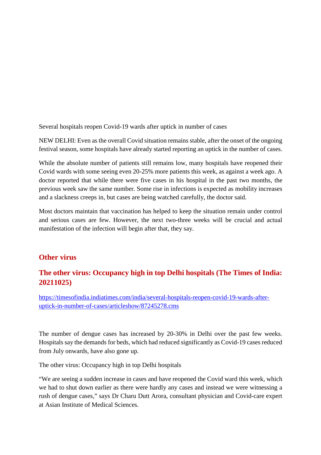Several hospitals reopen Covid-19 wards after uptick in number of cases

NEW DELHI: Even as the overall Covid situation remains stable, after the onset of the ongoing festival season, some hospitals have already started reporting an uptick in the number of cases.

While the absolute number of patients still remains low, many hospitals have reopened their Covid wards with some seeing even 20-25% more patients this week, as against a week ago. A doctor reported that while there were five cases in his hospital in the past two months, the previous week saw the same number. Some rise in infections is expected as mobility increases and a slackness creeps in, but cases are being watched carefully, the doctor said.

Most doctors maintain that vaccination has helped to keep the situation remain under control and serious cases are few. However, the next two-three weeks will be crucial and actual manifestation of the infection will begin after that, they say.

#### **Other virus**

#### **The other virus: Occupancy high in top Delhi hospitals (The Times of India: 20211025)**

https://timesofindia.indiatimes.com/india/several-hospitals-reopen-covid-19-wards-afteruptick-in-number-of-cases/articleshow/87245278.cms

The number of dengue cases has increased by 20-30% in Delhi over the past few weeks. Hospitals say the demands for beds, which had reduced significantly as Covid-19 cases reduced from July onwards, have also gone up.

The other virus: Occupancy high in top Delhi hospitals

"We are seeing a sudden increase in cases and have reopened the Covid ward this week, which we had to shut down earlier as there were hardly any cases and instead we were witnessing a rush of dengue cases," says Dr Charu Dutt Arora, consultant physician and Covid-care expert at Asian Institute of Medical Sciences.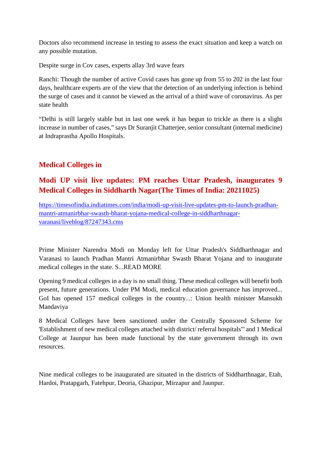Doctors also recommend increase in testing to assess the exact situation and keep a watch on any possible mutation.

Despite surge in Cov cases, experts allay 3rd wave fears

Ranchi: Though the number of active Covid cases has gone up from 55 to 202 in the last four days, healthcare experts are of the view that the detection of an underlying infection is behind the surge of cases and it cannot be viewed as the arrival of a third wave of coronavirus. As per state health

"Delhi is still largely stable but in last one week it has begun to trickle as there is a slight increase in number of cases," says Dr Suranjit Chatterjee, senior consultant (internal medicine) at Indraprastha Apollo Hospitals.

#### **Medical Colleges in**

#### **Modi UP visit live updates: PM reaches Uttar Pradesh, inaugurates 9 Medical Colleges in Siddharth Nagar(The Times of India: 20211025)**

https://timesofindia.indiatimes.com/india/modi-up-visit-live-updates-pm-to-launch-pradhanmantri-atmanirbhar-swasth-bharat-yojana-medical-college-in-siddharthnagarvaranasi/liveblog/87247343.cms

Prime Minister Narendra Modi on Monday left for Uttar Pradesh's Siddharthnagar and Varanasi to launch Pradhan Mantri Atmanirbhar Swasth Bharat Yojana and to inaugurate medical colleges in the state. S...READ MORE

Opening 9 medical colleges in a day is no small thing. These medical colleges will benefit both present, future generations. Under PM Modi, medical education governance has improved... GoI has opened 157 medical colleges in the country...: Union health minister Mansukh Mandaviya

8 Medical Colleges have been sanctioned under the Centrally Sponsored Scheme for 'Establishment of new medical colleges attached with district/ referral hospitals"' and 1 Medical College at Jaunpur has been made functional by the state government through its own resources.

Nine medical colleges to be inaugurated are situated in the districts of Siddharthnagar, Etah, Hardoi, Pratapgarh, Fatehpur, Deoria, Ghazipur, Mirzapur and Jaunpur.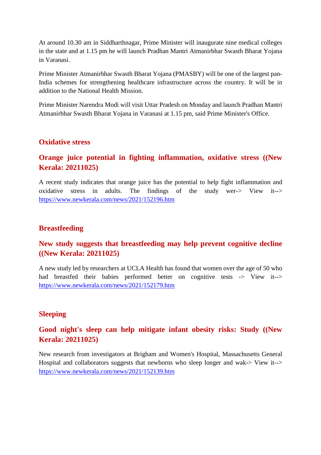At around 10.30 am in Siddharthnagar, Prime Minister will inaugurate nine medical colleges in the state and at 1.15 pm he will launch Pradhan Mantri Atmanirbhar Swasth Bharat Yojana in Varanasi.

Prime Minister Atmanirbhar Swasth Bharat Yojana (PMASBY) will be one of the largest pan-India schemes for strengthening healthcare infrastructure across the country. It will be in addition to the National Health Mission.

Prime Minister Narendra Modi will visit Uttar Pradesh on Monday and launch Pradhan Mantri Atmanirbhar Swasth Bharat Yojana in Varanasi at 1.15 pm, said Prime Minister's Office.

#### **Oxidative stress**

#### **Orange juice potential in fighting inflammation, oxidative stress ((New Kerala: 20211025)**

A recent study indicates that orange juice has the potential to help fight inflammation and oxidative stress in adults. The findings of the study wer-> View it--> https://www.newkerala.com/news/2021/152196.htm

#### **Breastfeeding**

#### **New study suggests that breastfeeding may help prevent cognitive decline ((New Kerala: 20211025)**

A new study led by researchers at UCLA Health has found that women over the age of 50 who had breastfed their babies performed better on cognitive tests -> View it--> https://www.newkerala.com/news/2021/152179.htm

#### **Sleeping**

#### **Good night's sleep can help mitigate infant obesity risks: Study ((New Kerala: 20211025)**

New research from investigators at Brigham and Women's Hospital, Massachusetts General Hospital and collaborators suggests that newborns who sleep longer and wak-> View it--> https://www.newkerala.com/news/2021/152139.htm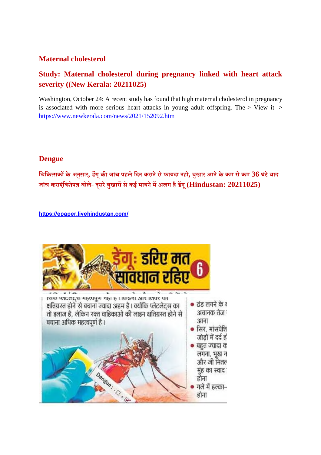#### **Maternal cholesterol**

### **Study: Maternal cholesterol during pregnancy linked with heart attack severity ((New Kerala: 20211025)**

Washington, October 24: A recent study has found that high maternal cholesterol in pregnancy is associated with more serious heart attacks in young adult offspring. The-> View it--> https://www.newkerala.com/news/2021/152092.htm

#### **Dengue**

**िचिकसककेअनुसार, डगूकजांच पहलेिदन करानेसेफायदा नह, बुखार आनेके कम सेकम 36 घंटेबाद जांच कराएिंवशेषबोले- दूसरेबुखारसेकई मायनेमअलग हैडगू(Hindustan: 20211025)**

**https://epaper.livehindustan.com/**